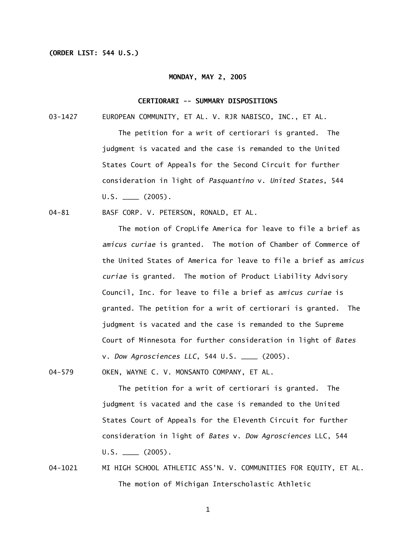# **(ORDER LIST: 544 U.S.)**

## **MONDAY, MAY 2, 2005**

## **CERTIORARI -- SUMMARY DISPOSITIONS**

03-1427 EUROPEAN COMMUNITY, ET AL. V. RJR NABISCO, INC., ET AL.

 The petition for a writ of certiorari is granted. The judgment is vacated and the case is remanded to the United States Court of Appeals for the Second Circuit for further consideration in light of *Pasquantino* v. *United States*, 544  $U.S.$   $\_\_$  (2005).

04-81 BASF CORP. V. PETERSON, RONALD, ET AL.

The motion of CropLife America for leave to file a brief as *amicus curiae* is granted. The motion of Chamber of Commerce of the United States of America for leave to file a brief as *amicus curiae* is granted. The motion of Product Liability Advisory Council, Inc. for leave to file a brief as *amicus curiae* is granted. The petition for a writ of certiorari is granted. The judgment is vacated and the case is remanded to the Supreme Court of Minnesota for further consideration in light of *Bates*  v. *Dow Agrosciences LLC*, 544 U.S. \_\_\_\_ (2005).

04-579 OKEN, WAYNE C. V. MONSANTO COMPANY, ET AL.

 The petition for a writ of certiorari is granted. The judgment is vacated and the case is remanded to the United States Court of Appeals for the Eleventh Circuit for further consideration in light of *Bates* v. *Dow Agrosciences* LLC, 544  $U.S.$   $\_\_$  (2005).

04-1021 MI HIGH SCHOOL ATHLETIC ASS'N. V. COMMUNITIES FOR EQUITY, ET AL. The motion of Michigan Interscholastic Athletic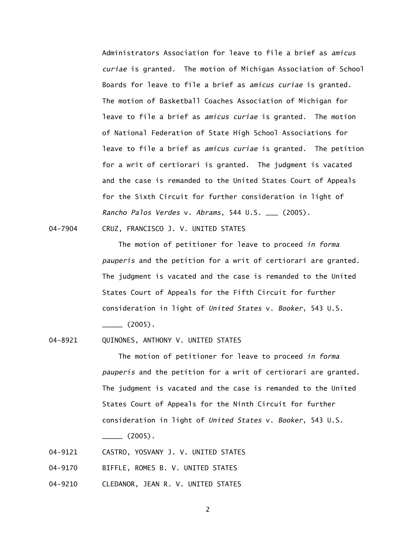Administrators Association for leave to file a brief as *amicus curiae* is granted. The motion of Michigan Association of School Boards for leave to file a brief as *amicus curiae* is granted. The motion of Basketball Coaches Association of Michigan for leave to file a brief as *amicus curiae* is granted. The motion of National Federation of State High School Associations for leave to file a brief as *amicus curiae* is granted. The petition for a writ of certiorari is granted. The judgment is vacated and the case is remanded to the United States Court of Appeals for the Sixth Circuit for further consideration in light of *Rancho Palos Verdes* v. *Abrams*, 544 U.S. \_\_\_ (2005).

04-7904 CRUZ, FRANCISCO J. V. UNITED STATES

 The motion of petitioner for leave to proceed *in forma pauperis* and the petition for a writ of certiorari are granted. The judgment is vacated and the case is remanded to the United States Court of Appeals for the Fifth Circuit for further consideration in light of *United States* v. *Booker*, 543 U.S.  $\frac{1}{2005}$ .

04-8921 QUINONES, ANTHONY V. UNITED STATES

 The motion of petitioner for leave to proceed *in forma pauperis* and the petition for a writ of certiorari are granted. The judgment is vacated and the case is remanded to the United States Court of Appeals for the Ninth Circuit for further consideration in light of *United States* v. *Booker*, 543 U.S.

 $\frac{1}{2}$  (2005).

- 04-9121 CASTRO, YOSVANY J. V. UNITED STATES
- 04-9170 BIFFLE, ROMES B. V. UNITED STATES
- 04-9210 CLEDANOR, JEAN R. V. UNITED STATES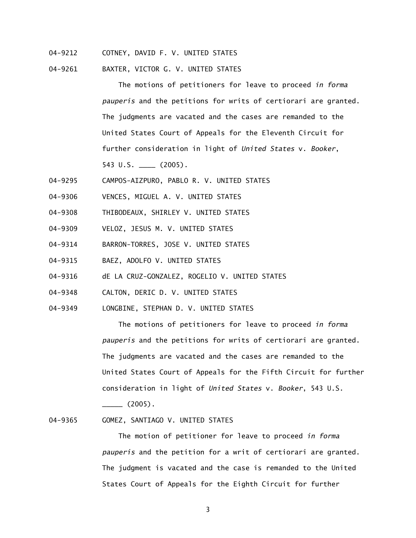- 04-9212 COTNEY, DAVID F. V. UNITED STATES
- 04-9261 BAXTER, VICTOR G. V. UNITED STATES

 The motions of petitioners for leave to proceed *in forma pauperis* and the petitions for writs of certiorari are granted. The judgments are vacated and the cases are remanded to the United States Court of Appeals for the Eleventh Circuit for further consideration in light of *United States* v. *Booker*, 543 U.S. \_\_\_\_ (2005).

- 04-9295 CAMPOS-AIZPURO, PABLO R. V. UNITED STATES
- 04-9306 VENCES, MIGUEL A. V. UNITED STATES
- 04-9308 THIBODEAUX, SHIRLEY V. UNITED STATES
- 04-9309 VELOZ, JESUS M. V. UNITED STATES
- 04-9314 BARRON-TORRES, JOSE V. UNITED STATES
- 04-9315 BAEZ, ADOLFO V. UNITED STATES
- 04-9316 dE LA CRUZ-GONZALEZ, ROGELIO V. UNITED STATES
- 04-9348 CALTON, DERIC D. V. UNITED STATES
- 04-9349 LONGBINE, STEPHAN D. V. UNITED STATES

 The motions of petitioners for leave to proceed *in forma pauperis* and the petitions for writs of certiorari are granted. The judgments are vacated and the cases are remanded to the United States Court of Appeals for the Fifth Circuit for further consideration in light of *United States* v. *Booker*, 543 U.S.

 $\frac{1}{2005}$ .

#### 04-9365 GOMEZ, SANTIAGO V. UNITED STATES

 The motion of petitioner for leave to proceed *in forma pauperis* and the petition for a writ of certiorari are granted. The judgment is vacated and the case is remanded to the United States Court of Appeals for the Eighth Circuit for further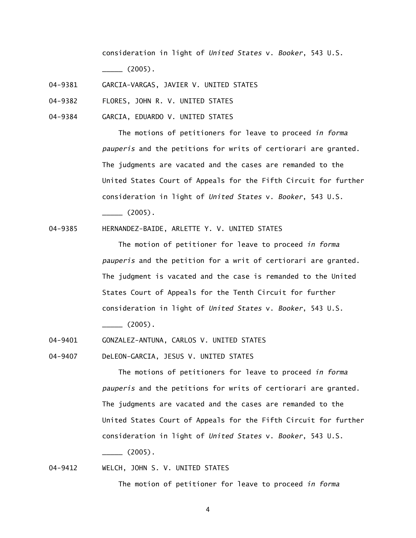consideration in light of *United States* v. *Booker*, 543 U.S.  $\frac{1}{2}$  (2005).

04-9381 GARCIA-VARGAS, JAVIER V. UNITED STATES

04-9382 FLORES, JOHN R. V. UNITED STATES

04-9384 GARCIA, EDUARDO V. UNITED STATES

 The motions of petitioners for leave to proceed *in forma pauperis* and the petitions for writs of certiorari are granted. The judgments are vacated and the cases are remanded to the United States Court of Appeals for the Fifth Circuit for further consideration in light of *United States* v. *Booker*, 543 U.S.  $\frac{1}{2005}$ .

04-9385 HERNANDEZ-BAIDE, ARLETTE Y. V. UNITED STATES

 The motion of petitioner for leave to proceed *in forma pauperis* and the petition for a writ of certiorari are granted. The judgment is vacated and the case is remanded to the United States Court of Appeals for the Tenth Circuit for further consideration in light of *United States* v. *Booker*, 543 U.S.

 $\frac{1}{2005}.$ 

04-9401 GONZALEZ-ANTUNA, CARLOS V. UNITED STATES

04-9407 DeLEON-GARCIA, JESUS V. UNITED STATES

 The motions of petitioners for leave to proceed *in forma pauperis* and the petitions for writs of certiorari are granted. The judgments are vacated and the cases are remanded to the United States Court of Appeals for the Fifth Circuit for further consideration in light of *United States* v. *Booker*, 543 U.S.  $\frac{1}{2}$  (2005).

04-9412 WELCH, JOHN S. V. UNITED STATES

The motion of petitioner for leave to proceed *in forma*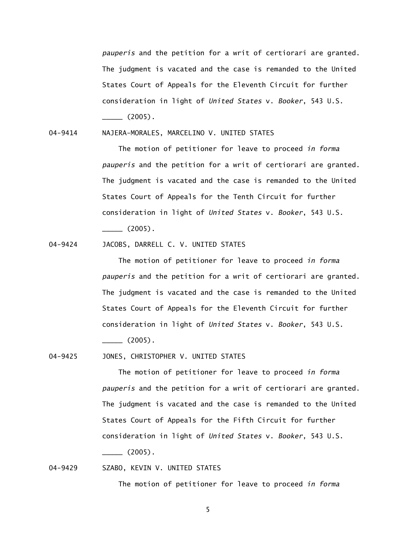*pauperis* and the petition for a writ of certiorari are granted. The judgment is vacated and the case is remanded to the United States Court of Appeals for the Eleventh Circuit for further consideration in light of *United States* v. *Booker*, 543 U.S.  $\frac{1}{2}$  (2005).

04-9414 NAJERA-MORALES, MARCELINO V. UNITED STATES

 The motion of petitioner for leave to proceed *in forma pauperis* and the petition for a writ of certiorari are granted. The judgment is vacated and the case is remanded to the United States Court of Appeals for the Tenth Circuit for further consideration in light of *United States* v. *Booker*, 543 U.S.  $\frac{1}{2005}$ .

04-9424 JACOBS, DARRELL C. V. UNITED STATES

 The motion of petitioner for leave to proceed *in forma pauperis* and the petition for a writ of certiorari are granted. The judgment is vacated and the case is remanded to the United States Court of Appeals for the Eleventh Circuit for further consideration in light of *United States* v. *Booker*, 543 U.S.

 $\frac{1}{2}$  (2005).

04-9425 JONES, CHRISTOPHER V. UNITED STATES

 The motion of petitioner for leave to proceed *in forma pauperis* and the petition for a writ of certiorari are granted. The judgment is vacated and the case is remanded to the United States Court of Appeals for the Fifth Circuit for further consideration in light of *United States* v. *Booker*, 543 U.S.  $\frac{1}{2005}$ .

04-9429 SZABO, KEVIN V. UNITED STATES

The motion of petitioner for leave to proceed *in forma*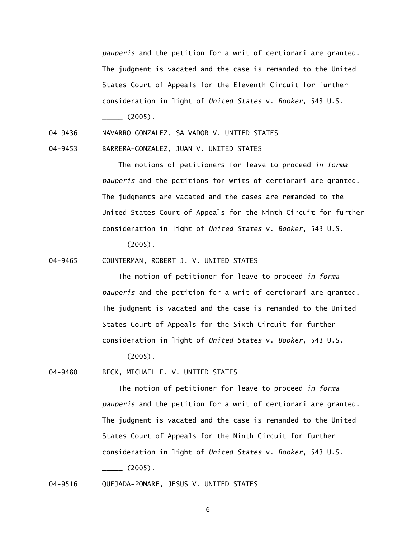*pauperis* and the petition for a writ of certiorari are granted. The judgment is vacated and the case is remanded to the United States Court of Appeals for the Eleventh Circuit for further consideration in light of *United States* v. *Booker*, 543 U.S.  $\frac{1}{2005}.$ 

04-9436 NAVARRO-GONZALEZ, SALVADOR V. UNITED STATES

04-9453 BARRERA-GONZALEZ, JUAN V. UNITED STATES

 The motions of petitioners for leave to proceed *in forma pauperis* and the petitions for writs of certiorari are granted. The judgments are vacated and the cases are remanded to the United States Court of Appeals for the Ninth Circuit for further consideration in light of *United States* v. *Booker*, 543 U.S.  $\frac{1}{2005}.$ 

04-9465 COUNTERMAN, ROBERT J. V. UNITED STATES

 The motion of petitioner for leave to proceed *in forma pauperis* and the petition for a writ of certiorari are granted. The judgment is vacated and the case is remanded to the United States Court of Appeals for the Sixth Circuit for further consideration in light of *United States* v. *Booker*, 543 U.S.

 $\frac{1}{2005}$ .

04-9480 BECK, MICHAEL E. V. UNITED STATES

 The motion of petitioner for leave to proceed *in forma pauperis* and the petition for a writ of certiorari are granted. The judgment is vacated and the case is remanded to the United States Court of Appeals for the Ninth Circuit for further consideration in light of *United States* v. *Booker*, 543 U.S.  $\sim$  (2005).

# 04-9516 QUEJADA-POMARE, JESUS V. UNITED STATES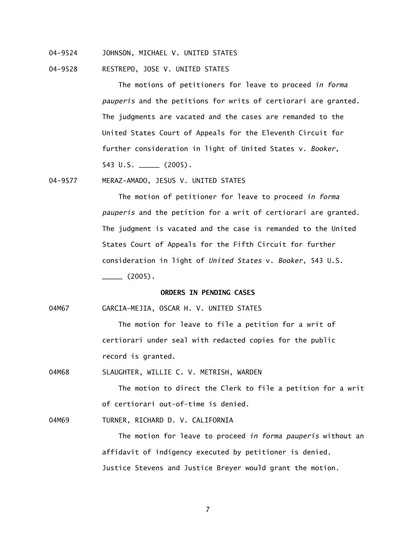- 04-9524 JOHNSON, MICHAEL V. UNITED STATES
- 04-9528 RESTREPO, JOSE V. UNITED STATES

 The motions of petitioners for leave to proceed *in forma pauperis* and the petitions for writs of certiorari are granted. The judgments are vacated and the cases are remanded to the United States Court of Appeals for the Eleventh Circuit for further consideration in light of United States v. *Booker*, 543 U.S. \_\_\_\_\_ (2005).

04-9577 MERAZ-AMADO, JESUS V. UNITED STATES

 The motion of petitioner for leave to proceed *in forma pauperis* and the petition for a writ of certiorari are granted. The judgment is vacated and the case is remanded to the United States Court of Appeals for the Fifth Circuit for further consideration in light of *United States* v. *Booker*, 543 U.S.  $\frac{1}{2005}$ .

# **ORDERS IN PENDING CASES**

04M67 GARCIA-MEJIA, OSCAR H. V. UNITED STATES

The motion for leave to file a petition for a writ of certiorari under seal with redacted copies for the public record is granted.

04M68 SLAUGHTER, WILLIE C. V. METRISH, WARDEN

The motion to direct the Clerk to file a petition for a writ of certiorari out-of-time is denied.

04M69 TURNER, RICHARD D. V. CALIFORNIA

 The motion for leave to proceed *in forma pauperis* without an affidavit of indigency executed by petitioner is denied. Justice Stevens and Justice Breyer would grant the motion.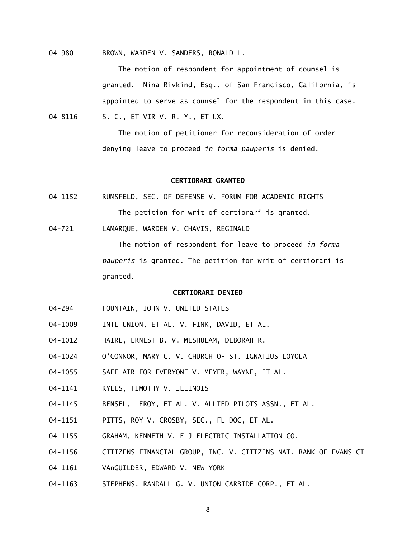04-980 BROWN, WARDEN V. SANDERS, RONALD L.

 The motion of respondent for appointment of counsel is granted. Nina Rivkind, Esq., of San Francisco, California, is appointed to serve as counsel for the respondent in this case. 04-8116 S. C., ET VIR V. R. Y., ET UX.

> The motion of petitioner for reconsideration of order denying leave to proceed *in forma pauperis* is denied.

# **CERTIORARI GRANTED**

- 04-1152 RUMSFELD, SEC. OF DEFENSE V. FORUM FOR ACADEMIC RIGHTS The petition for writ of certiorari is granted.
- 04-721 LAMARQUE, WARDEN V. CHAVIS, REGINALD

 The motion of respondent for leave to proceed *in forma pauperis* is granted. The petition for writ of certiorari is granted.

## **CERTIORARI DENIED**

- 04-294 FOUNTAIN, JOHN V. UNITED STATES
- 04-1009 INTL UNION, ET AL. V. FINK, DAVID, ET AL.
- 04-1012 HAIRE, ERNEST B. V. MESHULAM, DEBORAH R.
- 04-1024 O'CONNOR, MARY C. V. CHURCH OF ST. IGNATIUS LOYOLA
- 04-1055 SAFE AIR FOR EVERYONE V. MEYER, WAYNE, ET AL.
- 04-1141 KYLES, TIMOTHY V. ILLINOIS
- 04-1145 BENSEL, LEROY, ET AL. V. ALLIED PILOTS ASSN., ET AL.
- 04-1151 PITTS, ROY V. CROSBY, SEC., FL DOC, ET AL.
- 04-1155 GRAHAM, KENNETH V. E-J ELECTRIC INSTALLATION CO.
- 04-1156 CITIZENS FINANCIAL GROUP, INC. V. CITIZENS NAT. BANK OF EVANS CI
- 04-1161 VAnGUILDER, EDWARD V. NEW YORK
- 04-1163 STEPHENS, RANDALL G. V. UNION CARBIDE CORP., ET AL.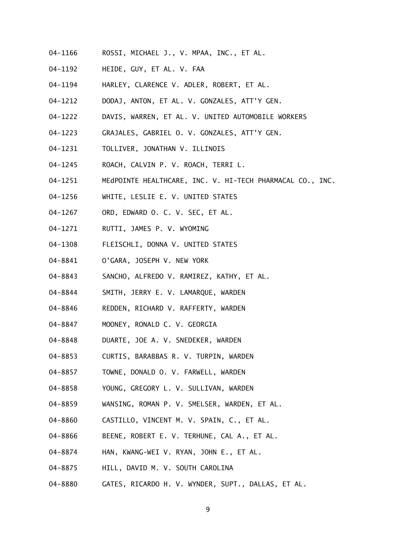- 04-1166 ROSSI, MICHAEL J., V. MPAA, INC., ET AL.
- 04-1192 HEIDE, GUY, ET AL. V. FAA
- 04-1194 HARLEY, CLARENCE V. ADLER, ROBERT, ET AL.
- 04-1212 DODAJ, ANTON, ET AL. V. GONZALES, ATT'Y GEN.
- 04-1222 DAVIS, WARREN, ET AL. V. UNITED AUTOMOBILE WORKERS
- 04-1223 GRAJALES, GABRIEL O. V. GONZALES, ATT'Y GEN.
- 04-1231 TOLLIVER, JONATHAN V. ILLINOIS
- 04-1245 ROACH, CALVIN P. V. ROACH, TERRI L.
- 04-1251 MEdPOINTE HEALTHCARE, INC. V. HI-TECH PHARMACAL CO., INC.
- 04-1256 WHITE, LESLIE E. V. UNITED STATES
- 04-1267 ORD, EDWARD O. C. V. SEC, ET AL.
- 04-1271 RUTTI, JAMES P. V. WYOMING
- 04-1308 FLEISCHLI, DONNA V. UNITED STATES
- 04-8841 O'GARA, JOSEPH V. NEW YORK
- 04-8843 SANCHO, ALFREDO V. RAMIREZ, KATHY, ET AL.
- 04-8844 SMITH, JERRY E. V. LAMARQUE, WARDEN
- 04-8846 REDDEN, RICHARD V. RAFFERTY, WARDEN
- 04-8847 MOONEY, RONALD C. V. GEORGIA
- 04-8848 DUARTE, JOE A. V. SNEDEKER, WARDEN
- 04-8853 CURTIS, BARABBAS R. V. TURPIN, WARDEN
- 04-8857 TOWNE, DONALD O. V. FARWELL, WARDEN
- 04-8858 YOUNG, GREGORY L. V. SULLIVAN, WARDEN
- 04-8859 WANSING, ROMAN P. V. SMELSER, WARDEN, ET AL.
- 04-8860 CASTILLO, VINCENT M. V. SPAIN, C., ET AL.
- 04-8866 BEENE, ROBERT E. V. TERHUNE, CAL A., ET AL.
- 04-8874 HAN, KWANG-WEI V. RYAN, JOHN E., ET AL.
- 04-8875 HILL, DAVID M. V. SOUTH CAROLINA
- 04-8880 GATES, RICARDO H. V. WYNDER, SUPT., DALLAS, ET AL.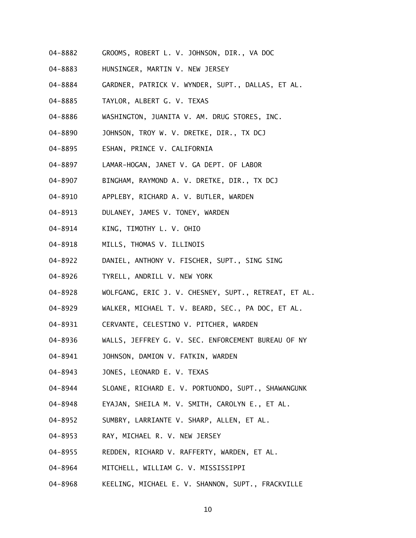- 04-8882 GROOMS, ROBERT L. V. JOHNSON, DIR., VA DOC
- 04-8883 HUNSINGER, MARTIN V. NEW JERSEY
- 04-8884 GARDNER, PATRICK V. WYNDER, SUPT., DALLAS, ET AL.
- 04-8885 TAYLOR, ALBERT G. V. TEXAS
- 04-8886 WASHINGTON, JUANITA V. AM. DRUG STORES, INC.
- 04-8890 JOHNSON, TROY W. V. DRETKE, DIR., TX DCJ
- 04-8895 ESHAN, PRINCE V. CALIFORNIA
- 04-8897 LAMAR-HOGAN, JANET V. GA DEPT. OF LABOR
- 04-8907 BINGHAM, RAYMOND A. V. DRETKE, DIR., TX DCJ
- 04-8910 APPLEBY, RICHARD A. V. BUTLER, WARDEN
- 04-8913 DULANEY, JAMES V. TONEY, WARDEN
- 04-8914 KING, TIMOTHY L. V. OHIO
- 04-8918 MILLS, THOMAS V. ILLINOIS
- 04-8922 DANIEL, ANTHONY V. FISCHER, SUPT., SING SING
- 04-8926 TYRELL, ANDRILL V. NEW YORK
- 04-8928 WOLFGANG, ERIC J. V. CHESNEY, SUPT., RETREAT, ET AL.
- 04-8929 WALKER, MICHAEL T. V. BEARD, SEC., PA DOC, ET AL.
- 04-8931 CERVANTE, CELESTINO V. PITCHER, WARDEN
- 04-8936 WALLS, JEFFREY G. V. SEC. ENFORCEMENT BUREAU OF NY
- 04-8941 JOHNSON, DAMION V. FATKIN, WARDEN
- 04-8943 JONES, LEONARD E. V. TEXAS
- 04-8944 SLOANE, RICHARD E. V. PORTUONDO, SUPT., SHAWANGUNK
- 04-8948 EYAJAN, SHEILA M. V. SMITH, CAROLYN E., ET AL.
- 04-8952 SUMBRY, LARRIANTE V. SHARP, ALLEN, ET AL.
- 04-8953 RAY, MICHAEL R. V. NEW JERSEY
- 04-8955 REDDEN, RICHARD V. RAFFERTY, WARDEN, ET AL.
- 04-8964 MITCHELL, WILLIAM G. V. MISSISSIPPI
- 04-8968 KEELING, MICHAEL E. V. SHANNON, SUPT., FRACKVILLE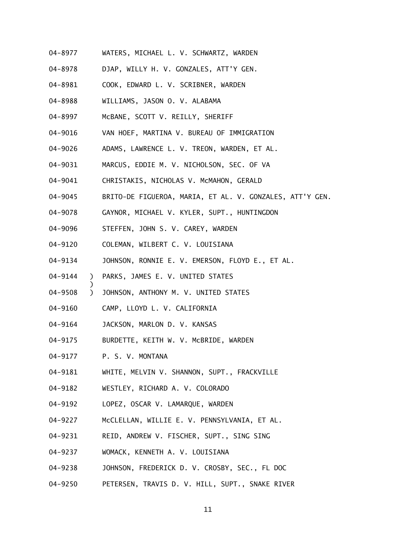- 04-8977 WATERS, MICHAEL L. V. SCHWARTZ, WARDEN
- 04-8978 DJAP, WILLY H. V. GONZALES, ATT'Y GEN.
- 04-8981 COOK, EDWARD L. V. SCRIBNER, WARDEN
- 04-8988 WILLIAMS, JASON O. V. ALABAMA
- 04-8997 McBANE, SCOTT V. REILLY, SHERIFF
- 04-9016 VAN HOEF, MARTINA V. BUREAU OF IMMIGRATION
- 04-9026 ADAMS, LAWRENCE L. V. TREON, WARDEN, ET AL.
- 04-9031 MARCUS, EDDIE M. V. NICHOLSON, SEC. OF VA
- 04-9041 CHRISTAKIS, NICHOLAS V. McMAHON, GERALD
- 04-9045 BRITO-DE FIGUEROA, MARIA, ET AL. V. GONZALES, ATT'Y GEN.
- 04-9078 GAYNOR, MICHAEL V. KYLER, SUPT., HUNTINGDON
- 04-9096 STEFFEN, JOHN S. V. CAREY, WARDEN
- 04-9120 COLEMAN, WILBERT C. V. LOUISIANA
- 04-9134 JOHNSON, RONNIE E. V. EMERSON, FLOYD E., ET AL.
- 04-9144 ) PARKS, JAMES E. V. UNITED STATES
- 04-9508 ) JOHNSON, ANTHONY M. V. UNITED STATES
- 04-9160 CAMP, LLOYD L. V. CALIFORNIA
- 04-9164 JACKSON, MARLON D. V. KANSAS
- 04-9175 BURDETTE, KEITH W. V. McBRIDE, WARDEN
- 04-9177 P. S. V. MONTANA

)

- 04-9181 WHITE, MELVIN V. SHANNON, SUPT., FRACKVILLE
- 04-9182 WESTLEY, RICHARD A. V. COLORADO
- 04-9192 LOPEZ, OSCAR V. LAMARQUE, WARDEN
- 04-9227 McCLELLAN, WILLIE E. V. PENNSYLVANIA, ET AL.
- 04-9231 REID, ANDREW V. FISCHER, SUPT., SING SING
- 04-9237 WOMACK, KENNETH A. V. LOUISIANA
- 04-9238 JOHNSON, FREDERICK D. V. CROSBY, SEC., FL DOC
- 04-9250 PETERSEN, TRAVIS D. V. HILL, SUPT., SNAKE RIVER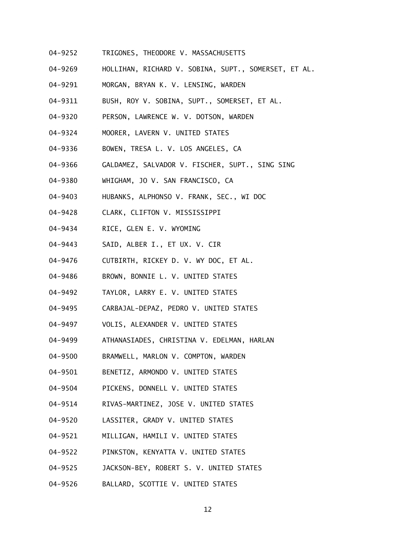- 04-9252 TRIGONES, THEODORE V. MASSACHUSETTS
- 04-9269 HOLLIHAN, RICHARD V. SOBINA, SUPT., SOMERSET, ET AL.
- 04-9291 MORGAN, BRYAN K. V. LENSING, WARDEN
- 04-9311 BUSH, ROY V. SOBINA, SUPT., SOMERSET, ET AL.
- 04-9320 PERSON, LAWRENCE W. V. DOTSON, WARDEN
- 04-9324 MOORER, LAVERN V. UNITED STATES
- 04-9336 BOWEN, TRESA L. V. LOS ANGELES, CA
- 04-9366 GALDAMEZ, SALVADOR V. FISCHER, SUPT., SING SING
- 04-9380 WHIGHAM, JO V. SAN FRANCISCO, CA
- 04-9403 HUBANKS, ALPHONSO V. FRANK, SEC., WI DOC
- 04-9428 CLARK, CLIFTON V. MISSISSIPPI
- 04-9434 RICE, GLEN E. V. WYOMING
- 04-9443 SAID, ALBER I., ET UX. V. CIR
- 04-9476 CUTBIRTH, RICKEY D. V. WY DOC, ET AL.
- 04-9486 BROWN, BONNIE L. V. UNITED STATES
- 04-9492 TAYLOR, LARRY E. V. UNITED STATES
- 04-9495 CARBAJAL-DEPAZ, PEDRO V. UNITED STATES
- 04-9497 VOLIS, ALEXANDER V. UNITED STATES
- 04-9499 ATHANASIADES, CHRISTINA V. EDELMAN, HARLAN
- 04-9500 BRAMWELL, MARLON V. COMPTON, WARDEN
- 04-9501 BENETIZ, ARMONDO V. UNITED STATES
- 04-9504 PICKENS, DONNELL V. UNITED STATES
- 04-9514 RIVAS-MARTINEZ, JOSE V. UNITED STATES
- 04-9520 LASSITER, GRADY V. UNITED STATES
- 04-9521 MILLIGAN, HAMILI V. UNITED STATES
- 04-9522 PINKSTON, KENYATTA V. UNITED STATES
- 04-9525 JACKSON-BEY, ROBERT S. V. UNITED STATES
- 04-9526 BALLARD, SCOTTIE V. UNITED STATES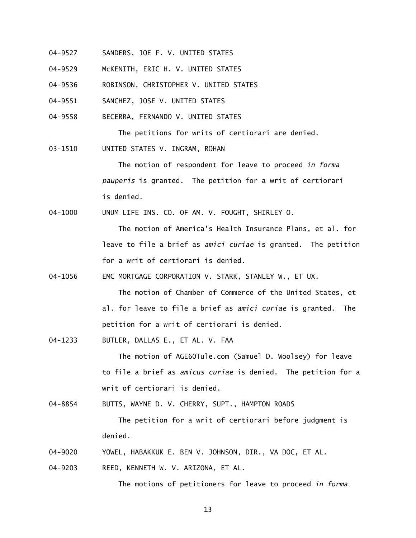- 04-9527 SANDERS, JOE F. V. UNITED STATES
- 04-9529 McKENITH, ERIC H. V. UNITED STATES
- 04-9536 ROBINSON, CHRISTOPHER V. UNITED STATES
- 04-9551 SANCHEZ, JOSE V. UNITED STATES
- 04-9558 BECERRA, FERNANDO V. UNITED STATES

The petitions for writs of certiorari are denied.

03-1510 UNITED STATES V. INGRAM, ROHAN

> The motion of respondent for leave to proceed *in forma pauperis* is granted. The petition for a writ of certiorari is denied.

04-1000 UNUM LIFE INS. CO. OF AM. V. FOUGHT, SHIRLEY O.

The motion of America's Health Insurance Plans, et al. for leave to file a brief as *amici curiae* is granted. The petition for a writ of certiorari is denied.

04-1056 EMC MORTGAGE CORPORATION V. STARK, STANLEY W., ET UX.

The motion of Chamber of Commerce of the United States, et al. for leave to file a brief as *amici curiae* is granted. The petition for a writ of certiorari is denied.

04-1233 BUTLER, DALLAS E., ET AL. V. FAA

> The motion of AGE60Tule.com (Samuel D. Woolsey) for leave to file a brief as *amicus curiae* is denied. The petition for a writ of certiorari is denied.

04-8854 BUTTS, WAYNE D. V. CHERRY, SUPT., HAMPTON ROADS

 The petition for a writ of certiorari before judgment is denied.

04-9020 YOWEL, HABAKKUK E. BEN V. JOHNSON, DIR., VA DOC, ET AL.

04-9203 REED, KENNETH W. V. ARIZONA, ET AL.

The motions of petitioners for leave to proceed *in forma*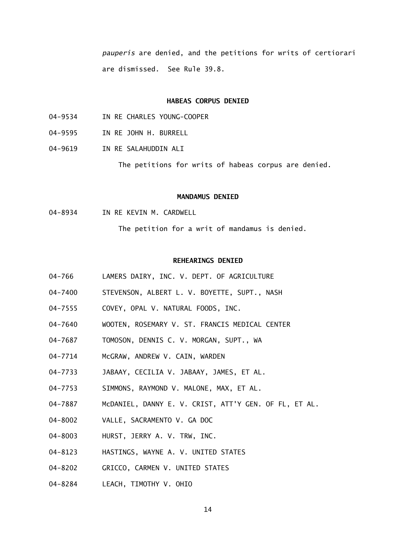*pauperis* are denied, and the petitions for writs of certiorari are dismissed. See Rule 39.8.

# **HABEAS CORPUS DENIED**

- 04-9534 IN RE CHARLES YOUNG-COOPER
- 04-9595 IN RE JOHN H. BURRELL
- 04-9619 IN RE SALAHUDDIN ALI

The petitions for writs of habeas corpus are denied.

## **MANDAMUS DENIED**

04-8934 IN RE KEVIN M. CARDWELL

The petition for a writ of mandamus is denied.

### **REHEARINGS DENIED**

- 04-766 LAMERS DAIRY, INC. V. DEPT. OF AGRICULTURE
- 04-7400 STEVENSON, ALBERT L. V. BOYETTE, SUPT., NASH
- 04-7555 COVEY, OPAL V. NATURAL FOODS, INC.
- 04-7640 WOOTEN, ROSEMARY V. ST. FRANCIS MEDICAL CENTER
- 04-7687 TOMOSON, DENNIS C. V. MORGAN, SUPT., WA
- 04-7714 McGRAW, ANDREW V. CAIN, WARDEN
- 04-7733 JABAAY, CECILIA V. JABAAY, JAMES, ET AL.
- 04-7753 SIMMONS, RAYMOND V. MALONE, MAX, ET AL.
- 04-7887 McDANIEL, DANNY E. V. CRIST, ATT'Y GEN. OF FL, ET AL.
- 04-8002 VALLE, SACRAMENTO V. GA DOC
- 04-8003 HURST, JERRY A. V. TRW, INC.
- 04-8123 HASTINGS, WAYNE A. V. UNITED STATES
- 04-8202 GRICCO, CARMEN V. UNITED STATES
- 04-8284 LEACH, TIMOTHY V. OHIO